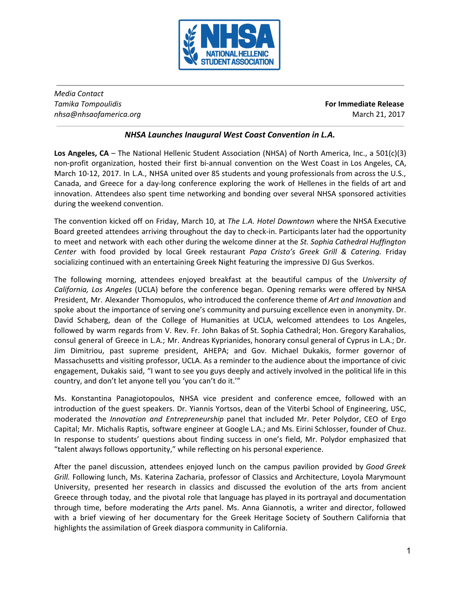

*Media Contact Tamika Tompoulidis* **For Immediate Release** *nhsa@nhsaofamerica.org* March 21, 2017

## *NHSA Launches Inaugural West Coast Convention in L.A.*

**Los Angeles, CA** – The National Hellenic Student Association (NHSA) of North America, Inc., a 501(c)(3) non-profit organization, hosted their first bi-annual convention on the West Coast in Los Angeles, CA, March 10-12, 2017. In L.A., NHSA united over 85 students and young professionals from across the U.S., Canada, and Greece for a day-long conference exploring the work of Hellenes in the fields of art and innovation. Attendees also spent time networking and bonding over several NHSA sponsored activities during the weekend convention.

The convention kicked off on Friday, March 10, at *The L.A. Hotel Downtown* where the NHSA Executive Board greeted attendees arriving throughout the day to check-in. Participants later had the opportunity to meet and network with each other during the welcome dinner at the *St. Sophia Cathedral Huffington Center* with food provided by local Greek restaurant *Papa Cristo's Greek Grill & Catering.* Friday socializing continued with an entertaining Greek Night featuring the impressive DJ Gus Sverkos.

The following morning, attendees enjoyed breakfast at the beautiful campus of the *University of California, Los Angeles* (UCLA) before the conference began. Opening remarks were offered by NHSA President, Mr. Alexander Thomopulos, who introduced the conference theme of *Art and Innovation* and spoke about the importance of serving one's community and pursuing excellence even in anonymity. Dr. David Schaberg, dean of the College of Humanities at UCLA, welcomed attendees to Los Angeles, followed by warm regards from V. Rev. Fr. John Bakas of St. Sophia Cathedral; Hon. Gregory Karahalios, consul general of Greece in L.A.; Mr. Andreas Kyprianides, honorary consul general of Cyprus in L.A.; Dr. Jim Dimitriou, past supreme president, AHEPA; and Gov. Michael Dukakis, former governor of Massachusetts and visiting professor, UCLA. As a reminder to the audience about the importance of civic engagement, Dukakis said, "I want to see you guys deeply and actively involved in the political life in this country, and don't let anyone tell you 'you can't do it.'"

Ms. Konstantina Panagiotopoulos, NHSA vice president and conference emcee, followed with an introduction of the guest speakers. Dr. Yiannis Yortsos, dean of the Viterbi School of Engineering, USC, moderated the *Innovation and Entrepreneurship* panel that included Mr. Peter Polydor, CEO of Ergo Capital; Mr. Michalis Raptis, software engineer at Google L.A.; and Ms. Eirini Schlosser, founder of Chuz. In response to students' questions about finding success in one's field, Mr. Polydor emphasized that "talent always follows opportunity," while reflecting on his personal experience.

After the panel discussion, attendees enjoyed lunch on the campus pavilion provided by *Good Greek Grill.* Following lunch, Ms. Katerina Zacharia, professor of Classics and Architecture, Loyola Marymount University, presented her research in classics and discussed the evolution of the arts from ancient Greece through today, and the pivotal role that language has played in its portrayal and documentation through time, before moderating the *Arts* panel. Ms. Anna Giannotis, a writer and director, followed with a brief viewing of her documentary for the Greek Heritage Society of Southern California that highlights the assimilation of Greek diaspora community in California.